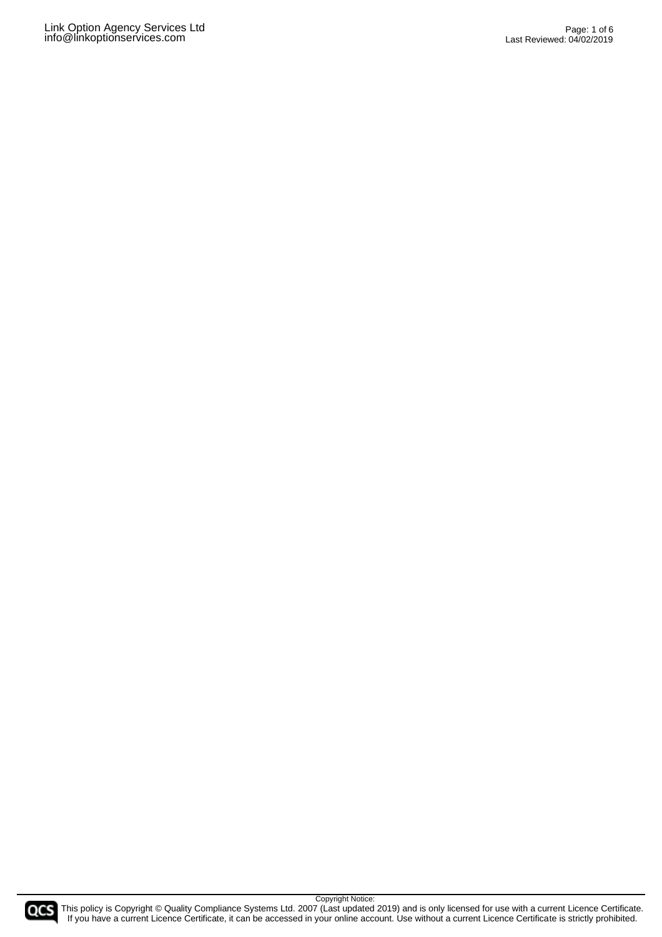

Copyright Notice: This policy is Copyright © Quality Compliance Systems Ltd. 2007 (Last updated 2019) and is only licensed for use with a current Licence Certificate. If you have a current Licence Certificate, it can be accessed in your online account. Use without a current Licence Certificate is strictly prohibited.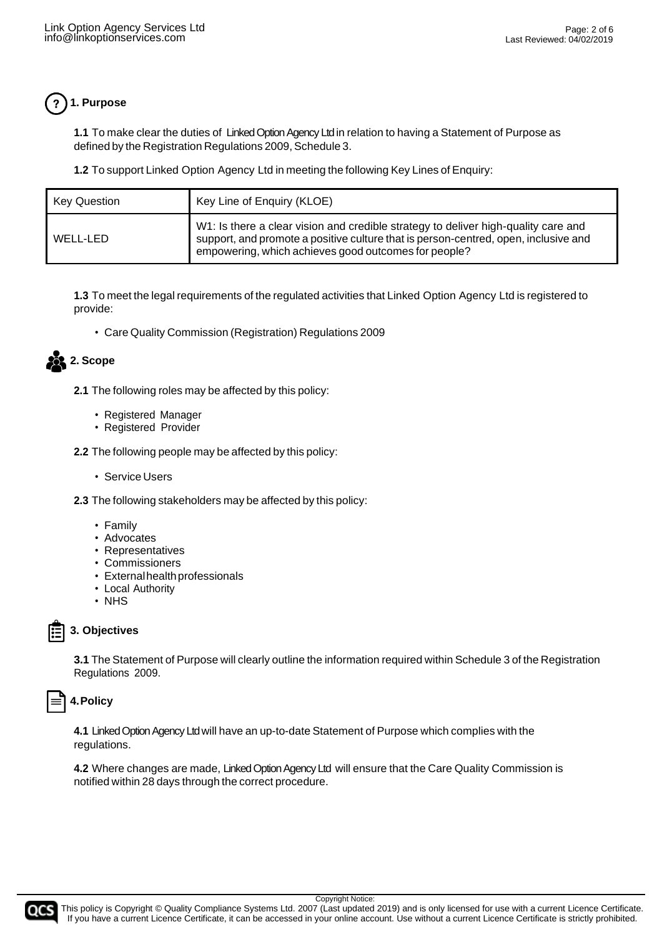#### $\boldsymbol{P}$ **1. Purpose**

**1.1** To make clear the duties of Linked Option Agency Ltdin relation to having a Statement of Purpose as defined by the Registration Regulations 2009, Schedule 3.

**1.2** To support Linked Option Agency Ltd in meeting the following Key Lines of Enquiry:

| Key Question | Key Line of Enquiry (KLOE)                                                                                                                                                                                                        |
|--------------|-----------------------------------------------------------------------------------------------------------------------------------------------------------------------------------------------------------------------------------|
| WELL-LED     | W1: Is there a clear vision and credible strategy to deliver high-quality care and<br>support, and promote a positive culture that is person-centred, open, inclusive and<br>empowering, which achieves good outcomes for people? |

**1.3** To meet the legal requirements of the regulated activities that Linked Option Agency Ltd is registered to provide:

• Care Quality Commission (Registration) Regulations 2009



**2.1** The following roles may be affected by this policy:

- Registered Manager
- Registered Provider
- **2.2** The following people may be affected by this policy:
	- Service Users
- **2.3** The following stakeholders may be affected by this policy:
	- Family
	- Advocates
	- Representatives
	- Commissioners
	- Externalhealthprofessionals
	- Local Authority
	- NHS

### **3. Objectives**

**3.1** The Statement of Purpose will clearly outline the information required within Schedule 3 of the Registration Regulations 2009.

# **4.Policy**

**4.1** Linked Option Agency Ltdwill have an up-to-date Statement of Purpose which complies with the regulations.

**4.2** Where changes are made, Linked Option Agency Ltd will ensure that the Care Quality Commission is notified within 28 days through the correct procedure.



Copyright Notice:

This policy is Copyright © Quality Compliance Systems Ltd. 2007 (Last updated 2019) and is only licensed for use with a current Licence Certificate. If you have a current Licence Certificate, it can be accessed in your online account. Use without a current Licence Certificate is strictly prohibited.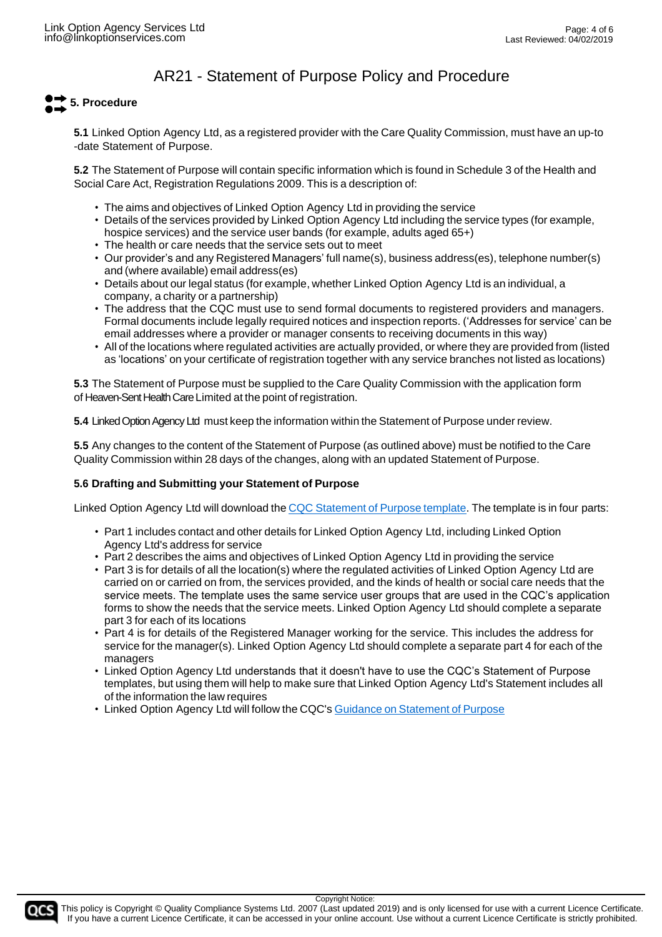## AR21 - Statement of Purpose Policy and Procedure

# **5. Procedure**

**5.1** Linked Option Agency Ltd, as a registered provider with the Care Quality Commission, must have an up-to -date Statement of Purpose.

**5.2** The Statement of Purpose will contain specific information which is found in Schedule 3 of the Health and Social Care Act, Registration Regulations 2009. This is a description of:

- The aims and objectives of Linked Option Agency Ltd in providing the service
- Details of the services provided by Linked Option Agency Ltd including the service types (for example, hospice services) and the service user bands (for example, adults aged 65+)
- The health or care needs that the service sets out to meet
- Our provider's and any Registered Managers' full name(s), business address(es), telephone number(s) and (where available) email address(es)
- Details about our legal status (for example, whether Linked Option Agency Ltd is an individual, a company, a charity or a partnership)
- The address that the CQC must use to send formal documents to registered providers and managers. Formal documents include legally required notices and inspection reports. ('Addresses for service' can be email addresses where a provider or manager consents to receiving documents in this way)
- All of the locations where regulated activities are actually provided, or where they are provided from (listed as 'locations' on your certificate of registration together with any service branches not listed as locations)

**5.3** The Statement of Purpose must be supplied to the Care Quality Commission with the application form of Heaven-Sent Health Care Limited at the point of registration.

**5.4** Linked Option Agency Ltd must keep the information within the Statement of Purpose under review.

**5.5** Any changes to the content of the Statement of Purpose (as outlined above) must be notified to the Care Quality Commission within 28 days of the changes, along with an updated Statement of Purpose.

#### **5.6 Drafting and Submitting your Statement of Purpose**

Linked Option Agency Ltd will download the CQC [Statement](https://www.cqc.org.uk/guidance-providers/registration-notifications/statement-purpose) of Purpose template. The template is in four parts:

- Part 1 includes contact and other details for Linked Option Agency Ltd, including Linked Option Agency Ltd's address for service
- Part 2 describes the aims and objectives of Linked Option Agency Ltd in providing the service
- Part 3 is for details of all the location(s) where the regulated activities of Linked Option Agency Ltd are carried on or carried on from, the services provided, and the kinds of health or social care needs that the service meets. The template uses the same service user groups that are used in the CQC's application forms to show the needs that the service meets. Linked Option Agency Ltd should complete a separate part 3 for each of its locations
- Part 4 is for details of the Registered Manager working for the service. This includes the address for service for the manager(s). Linked Option Agency Ltd should complete a separate part 4 for each of the managers
- Linked Option Agency Ltd understands that it doesn't have to use the CQC's Statement of Purpose templates, but using them will help to make sure that Linked Option Agency Ltd's Statement includes all of the information the law requires
- Linked Option Agency Ltd will follow the CQC's Guidance on [Statement](https://www.cqc.org.uk/sites/default/files/20180807_100456_guidance_for_providers-statement_of_purpose_v4.pdf) of Purpose

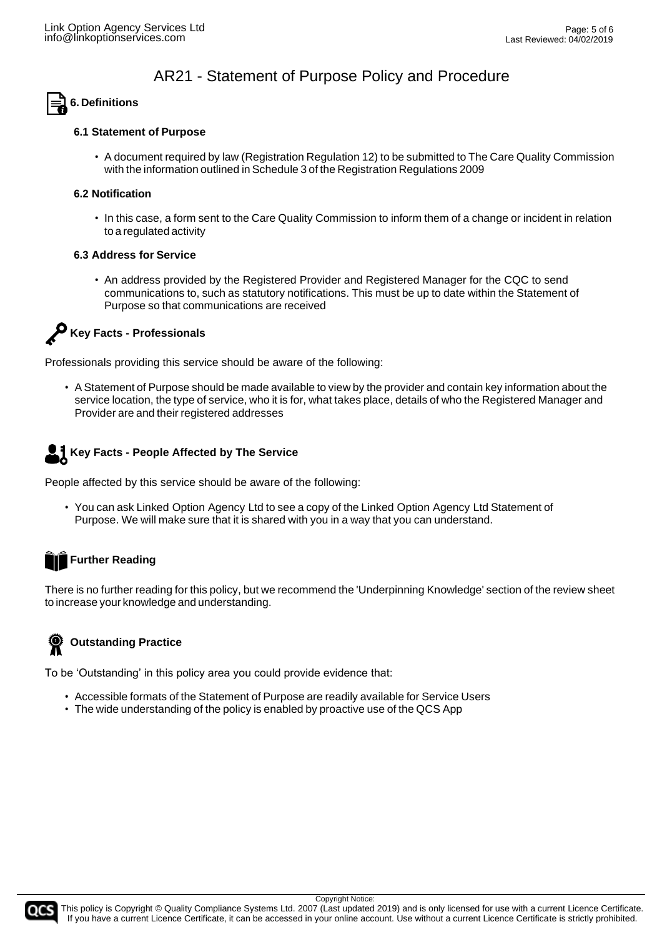### AR21 - Statement of Purpose Policy and Procedure

# **6. Definitions**

#### **6.1 Statement of Purpose**

• A document required by law (Registration Regulation 12) to be submitted to The Care Quality Commission with the information outlined in Schedule 3 of the Registration Regulations 2009

#### **6.2 Notification**

• In this case, a form sent to the Care Quality Commission to inform them of a change or incident in relation to a regulated activity

#### **6.3 Address for Service**

• An address provided by the Registered Provider and Registered Manager for the CQC to send communications to, such as statutory notifications. This must be up to date within the Statement of Purpose so that communications are received



Professionals providing this service should be aware of the following:

• A Statement of Purpose should be made available to view by the provider and contain key information about the service location, the type of service, who it is for, what takes place, details of who the Registered Manager and Provider are and their registered addresses

## **Key Facts - People Affected by The Service**

People affected by this service should be aware of the following:

• You can ask Linked Option Agency Ltd to see a copy of the Linked Option Agency Ltd Statement of Purpose. We will make sure that it is shared with you in a way that you can understand.

## **Further Reading**

There is no further reading for this policy, but we recommend the 'Underpinning Knowledge' section of the review sheet to increase your knowledge and understanding.

# **Outstanding Practice**

To be 'Outstanding' in this policy area you could provide evidence that:

- Accessible formats of the Statement of Purpose are readily available for Service Users
- The wide understanding of the policy is enabled by proactive use of the QCS App